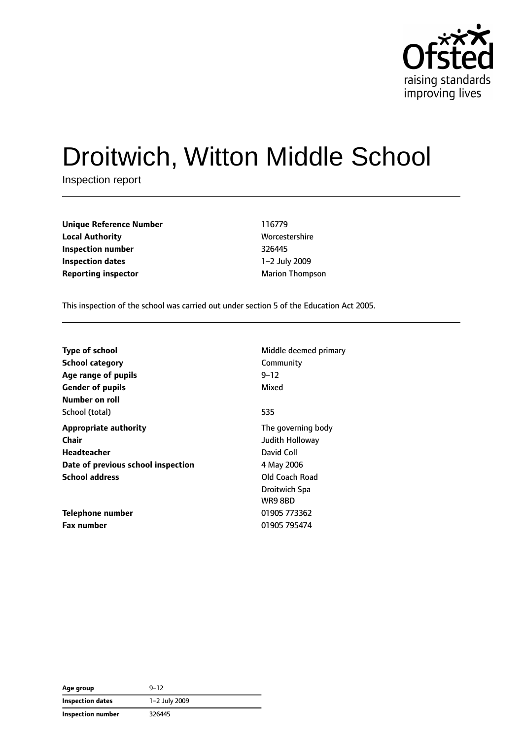

# Droitwich, Witton Middle School

Inspection report

| <b>Unique Reference Number</b> | 116779                 |
|--------------------------------|------------------------|
| <b>Local Authority</b>         | Worcestershire         |
| Inspection number              | 326445                 |
| Inspection dates               | 1-2 July 2009          |
| <b>Reporting inspector</b>     | <b>Marion Thompson</b> |

**Unique Reference Number** 116779 **Worcestershire Inspection number** 326445 **Inspection dates** 1–2 July 2009

This inspection of the school was carried out under section 5 of the Education Act 2005.

| <b>Type of school</b>              | Middle deemed primary |
|------------------------------------|-----------------------|
| <b>School category</b>             | Community             |
| Age range of pupils                | $9 - 12$              |
| <b>Gender of pupils</b>            | Mixed                 |
| Number on roll                     |                       |
| School (total)                     | 535                   |
| <b>Appropriate authority</b>       | The governing body    |
| <b>Chair</b>                       | Judith Holloway       |
| Headteacher                        | David Coll            |
| Date of previous school inspection | 4 May 2006            |
| <b>School address</b>              | Old Coach Road        |
|                                    | Droitwich Spa         |
|                                    | WR9 8BD               |
| Telephone number                   | 01905 773362          |
| <b>Fax number</b>                  | 01905 795474          |

| Age group               | $9 - 12$      |  |
|-------------------------|---------------|--|
| <b>Inspection dates</b> | 1-2 July 2009 |  |
| Inspection number       | 326445        |  |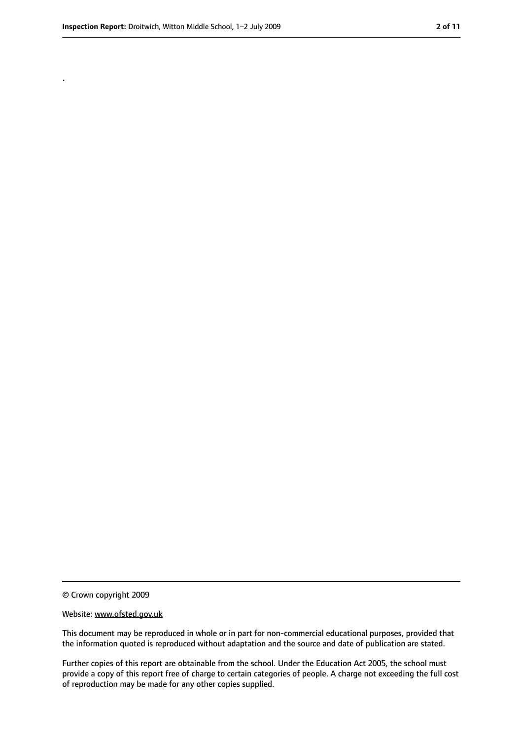.

<sup>©</sup> Crown copyright 2009

Website: www.ofsted.gov.uk

This document may be reproduced in whole or in part for non-commercial educational purposes, provided that the information quoted is reproduced without adaptation and the source and date of publication are stated.

Further copies of this report are obtainable from the school. Under the Education Act 2005, the school must provide a copy of this report free of charge to certain categories of people. A charge not exceeding the full cost of reproduction may be made for any other copies supplied.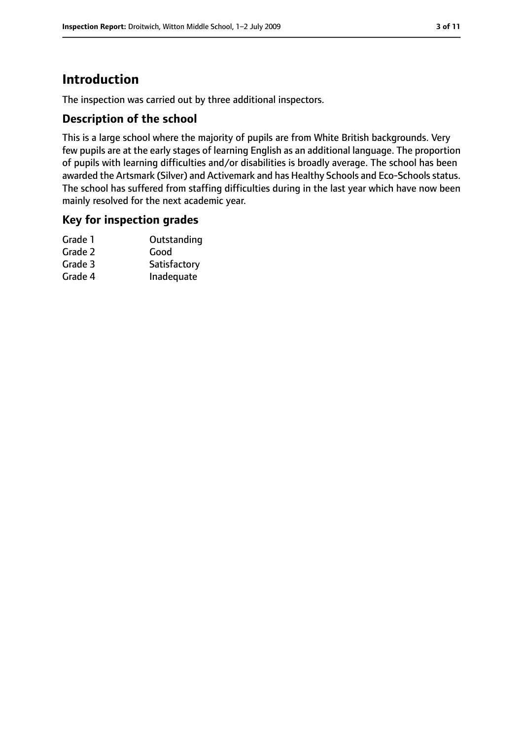# **Introduction**

The inspection was carried out by three additional inspectors.

## **Description of the school**

This is a large school where the majority of pupils are from White British backgrounds. Very few pupils are at the early stages of learning English as an additional language. The proportion of pupils with learning difficulties and/or disabilities is broadly average. The school has been awarded the Artsmark (Silver) and Activemark and has Healthy Schools and Eco-Schools status. The school has suffered from staffing difficulties during in the last year which have now been mainly resolved for the next academic year.

#### **Key for inspection grades**

| Outstanding  |
|--------------|
| Good         |
| Satisfactory |
| Inadequate   |
|              |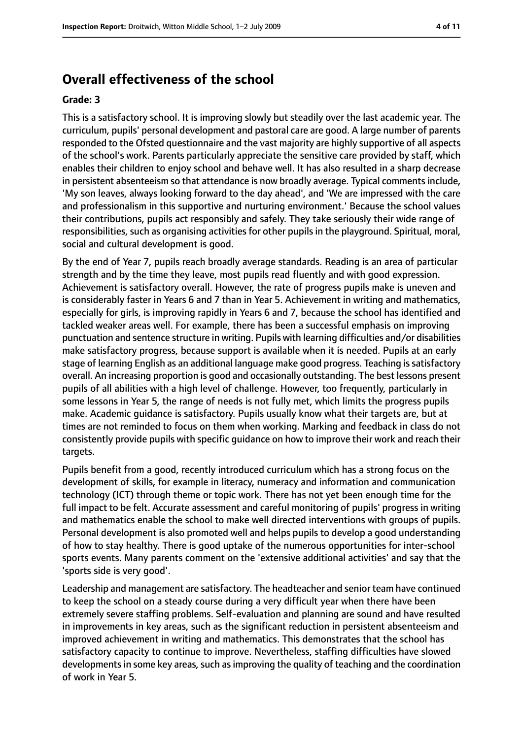# **Overall effectiveness of the school**

#### **Grade: 3**

This is a satisfactory school. It is improving slowly but steadily over the last academic year. The curriculum, pupils' personal development and pastoral care are good. A large number of parents responded to the Ofsted questionnaire and the vast majority are highly supportive of all aspects of the school's work. Parents particularly appreciate the sensitive care provided by staff, which enables their children to enjoy school and behave well. It has also resulted in a sharp decrease in persistent absenteeism so that attendance is now broadly average. Typical comments include, 'My son leaves, always looking forward to the day ahead', and 'We are impressed with the care and professionalism in this supportive and nurturing environment.' Because the school values their contributions, pupils act responsibly and safely. They take seriously their wide range of responsibilities, such as organising activities for other pupils in the playground. Spiritual, moral, social and cultural development is good.

By the end of Year 7, pupils reach broadly average standards. Reading is an area of particular strength and by the time they leave, most pupils read fluently and with good expression. Achievement is satisfactory overall. However, the rate of progress pupils make is uneven and is considerably faster in Years 6 and 7 than in Year 5. Achievement in writing and mathematics, especially for girls, is improving rapidly in Years 6 and 7, because the school has identified and tackled weaker areas well. For example, there has been a successful emphasis on improving punctuation and sentence structure in writing. Pupils with learning difficulties and/or disabilities make satisfactory progress, because support is available when it is needed. Pupils at an early stage of learning English as an additional language make good progress. Teaching is satisfactory overall. An increasing proportion is good and occasionally outstanding. The best lessons present pupils of all abilities with a high level of challenge. However, too frequently, particularly in some lessons in Year 5, the range of needs is not fully met, which limits the progress pupils make. Academic guidance is satisfactory. Pupils usually know what their targets are, but at times are not reminded to focus on them when working. Marking and feedback in class do not consistently provide pupils with specific guidance on how to improve their work and reach their targets.

Pupils benefit from a good, recently introduced curriculum which has a strong focus on the development of skills, for example in literacy, numeracy and information and communication technology (ICT) through theme or topic work. There has not yet been enough time for the full impact to be felt. Accurate assessment and careful monitoring of pupils' progress in writing and mathematics enable the school to make well directed interventions with groups of pupils. Personal development is also promoted well and helps pupils to develop a good understanding of how to stay healthy. There is good uptake of the numerous opportunities for inter-school sports events. Many parents comment on the 'extensive additional activities' and say that the 'sports side is very good'.

Leadership and management are satisfactory. The headteacher and senior team have continued to keep the school on a steady course during a very difficult year when there have been extremely severe staffing problems. Self-evaluation and planning are sound and have resulted in improvements in key areas, such as the significant reduction in persistent absenteeism and improved achievement in writing and mathematics. This demonstrates that the school has satisfactory capacity to continue to improve. Nevertheless, staffing difficulties have slowed developments in some key areas, such as improving the quality of teaching and the coordination of work in Year 5.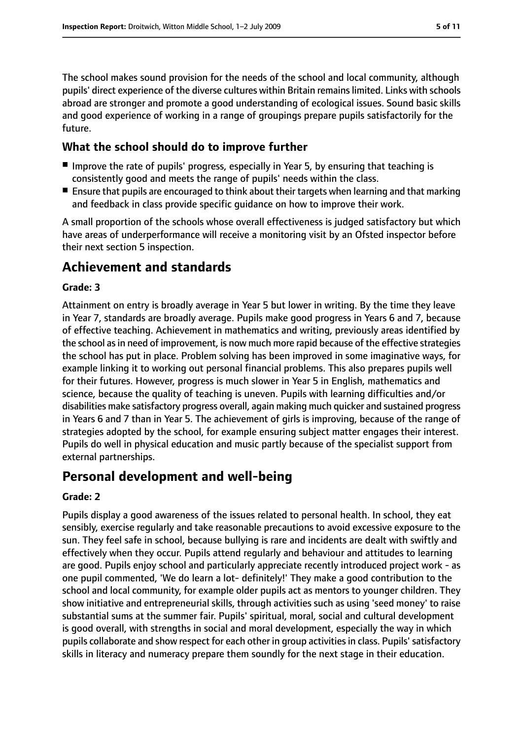The school makes sound provision for the needs of the school and local community, although pupils' direct experience of the diverse cultures within Britain remainslimited. Links with schools abroad are stronger and promote a good understanding of ecological issues. Sound basic skills and good experience of working in a range of groupings prepare pupils satisfactorily for the future.

## **What the school should do to improve further**

- Improve the rate of pupils' progress, especially in Year 5, by ensuring that teaching is consistently good and meets the range of pupils' needs within the class.
- Ensure that pupils are encouraged to think about their targets when learning and that marking and feedback in class provide specific guidance on how to improve their work.

A small proportion of the schools whose overall effectiveness is judged satisfactory but which have areas of underperformance will receive a monitoring visit by an Ofsted inspector before their next section 5 inspection.

# **Achievement and standards**

## **Grade: 3**

Attainment on entry is broadly average in Year 5 but lower in writing. By the time they leave in Year 7, standards are broadly average. Pupils make good progress in Years 6 and 7, because of effective teaching. Achievement in mathematics and writing, previously areas identified by the school as in need of improvement, is now much more rapid because of the effective strategies the school has put in place. Problem solving has been improved in some imaginative ways, for example linking it to working out personal financial problems. This also prepares pupils well for their futures. However, progress is much slower in Year 5 in English, mathematics and science, because the quality of teaching is uneven. Pupils with learning difficulties and/or disabilities make satisfactory progress overall, again making much quicker and sustained progress in Years 6 and 7 than in Year 5. The achievement of girls is improving, because of the range of strategies adopted by the school, for example ensuring subject matter engages their interest. Pupils do well in physical education and music partly because of the specialist support from external partnerships.

## **Personal development and well-being**

#### **Grade: 2**

Pupils display a good awareness of the issues related to personal health. In school, they eat sensibly, exercise regularly and take reasonable precautions to avoid excessive exposure to the sun. They feel safe in school, because bullying is rare and incidents are dealt with swiftly and effectively when they occur. Pupils attend regularly and behaviour and attitudes to learning are good. Pupils enjoy school and particularly appreciate recently introduced project work - as one pupil commented, 'We do learn a lot- definitely!' They make a good contribution to the school and local community, for example older pupils act as mentors to younger children. They show initiative and entrepreneurial skills, through activities such as using 'seed money' to raise substantial sums at the summer fair. Pupils' spiritual, moral, social and cultural development is good overall, with strengths in social and moral development, especially the way in which pupils collaborate and show respect for each other in group activitiesin class. Pupils'satisfactory skills in literacy and numeracy prepare them soundly for the next stage in their education.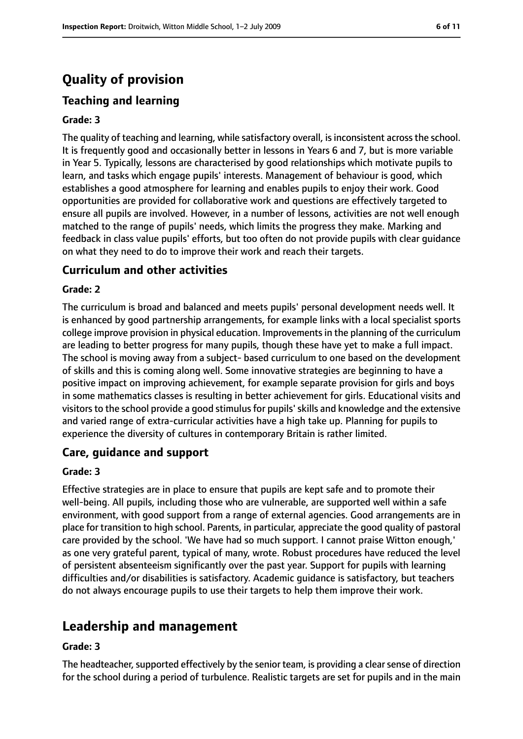# **Quality of provision**

## **Teaching and learning**

#### **Grade: 3**

The quality of teaching and learning, while satisfactory overall, is inconsistent across the school. It is frequently good and occasionally better in lessons in Years 6 and 7, but is more variable in Year 5. Typically, lessons are characterised by good relationships which motivate pupils to learn, and tasks which engage pupils' interests. Management of behaviour is good, which establishes a good atmosphere for learning and enables pupils to enjoy their work. Good opportunities are provided for collaborative work and questions are effectively targeted to ensure all pupils are involved. However, in a number of lessons, activities are not well enough matched to the range of pupils' needs, which limits the progress they make. Marking and feedback in class value pupils' efforts, but too often do not provide pupils with clear guidance on what they need to do to improve their work and reach their targets.

## **Curriculum and other activities**

#### **Grade: 2**

The curriculum is broad and balanced and meets pupils' personal development needs well. It is enhanced by good partnership arrangements, for example links with a local specialist sports college improve provision in physical education. Improvementsin the planning of the curriculum are leading to better progress for many pupils, though these have yet to make a full impact. The school is moving away from a subject- based curriculum to one based on the development of skills and this is coming along well. Some innovative strategies are beginning to have a positive impact on improving achievement, for example separate provision for girls and boys in some mathematics classes is resulting in better achievement for girls. Educational visits and visitors to the school provide a good stimulus for pupils' skills and knowledge and the extensive and varied range of extra-curricular activities have a high take up. Planning for pupils to experience the diversity of cultures in contemporary Britain is rather limited.

## **Care, guidance and support**

#### **Grade: 3**

Effective strategies are in place to ensure that pupils are kept safe and to promote their well-being. All pupils, including those who are vulnerable, are supported well within a safe environment, with good support from a range of external agencies. Good arrangements are in place for transition to high school. Parents, in particular, appreciate the good quality of pastoral care provided by the school. 'We have had so much support. I cannot praise Witton enough,' as one very grateful parent, typical of many, wrote. Robust procedures have reduced the level of persistent absenteeism significantly over the past year. Support for pupils with learning difficulties and/or disabilities is satisfactory. Academic guidance is satisfactory, but teachers do not always encourage pupils to use their targets to help them improve their work.

# **Leadership and management**

#### **Grade: 3**

The headteacher, supported effectively by the senior team, is providing a clear sense of direction for the school during a period of turbulence. Realistic targets are set for pupils and in the main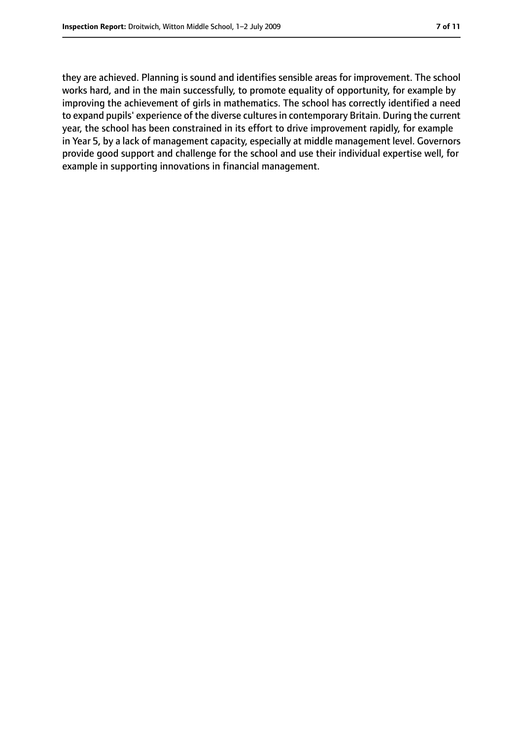they are achieved. Planning is sound and identifies sensible areas for improvement. The school works hard, and in the main successfully, to promote equality of opportunity, for example by improving the achievement of girls in mathematics. The school has correctly identified a need to expand pupils' experience of the diverse cultures in contemporary Britain. During the current year, the school has been constrained in its effort to drive improvement rapidly, for example in Year 5, by a lack of management capacity, especially at middle management level. Governors provide good support and challenge for the school and use their individual expertise well, for example in supporting innovations in financial management.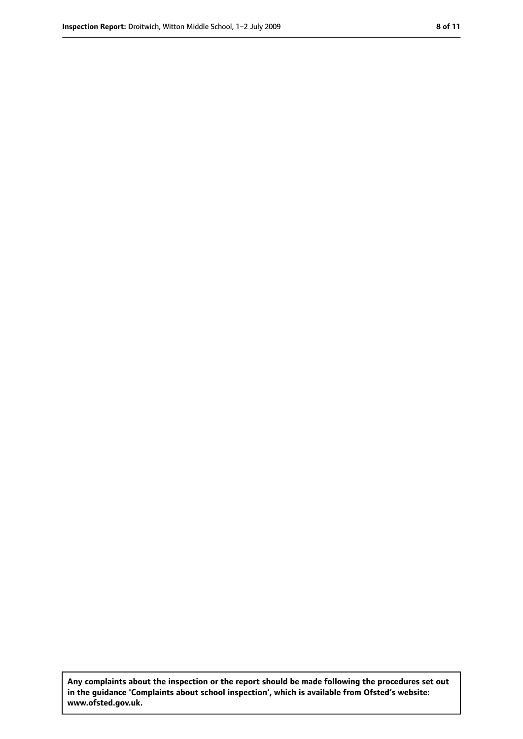**Any complaints about the inspection or the report should be made following the procedures set out in the guidance 'Complaints about school inspection', which is available from Ofsted's website: www.ofsted.gov.uk.**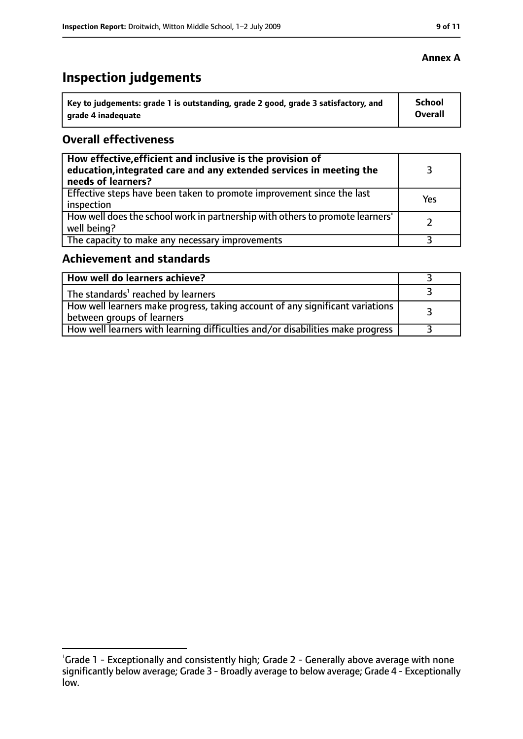# **Inspection judgements**

| Key to judgements: grade 1 is outstanding, grade 2 good, grade 3 satisfactory, and | <b>School</b>  |
|------------------------------------------------------------------------------------|----------------|
| arade 4 inadequate                                                                 | <b>Overall</b> |

## **Overall effectiveness**

| How effective, efficient and inclusive is the provision of<br>education, integrated care and any extended services in meeting the<br>needs of learners? |     |
|---------------------------------------------------------------------------------------------------------------------------------------------------------|-----|
| Effective steps have been taken to promote improvement since the last<br>inspection                                                                     | Yes |
| How well does the school work in partnership with others to promote learners'<br>well being?                                                            |     |
| The capacity to make any necessary improvements                                                                                                         |     |

## **Achievement and standards**

| How well do learners achieve?                                                                               |  |
|-------------------------------------------------------------------------------------------------------------|--|
| $\perp$ The standards <sup>1</sup> reached by learners                                                      |  |
| How well learners make progress, taking account of any significant variations<br>between groups of learners |  |
| How well learners with learning difficulties and/or disabilities make progress                              |  |

## **Annex A**

<sup>&</sup>lt;sup>1</sup>Grade 1 - Exceptionally and consistently high; Grade 2 - Generally above average with none significantly below average; Grade 3 - Broadly average to below average; Grade 4 - Exceptionally low.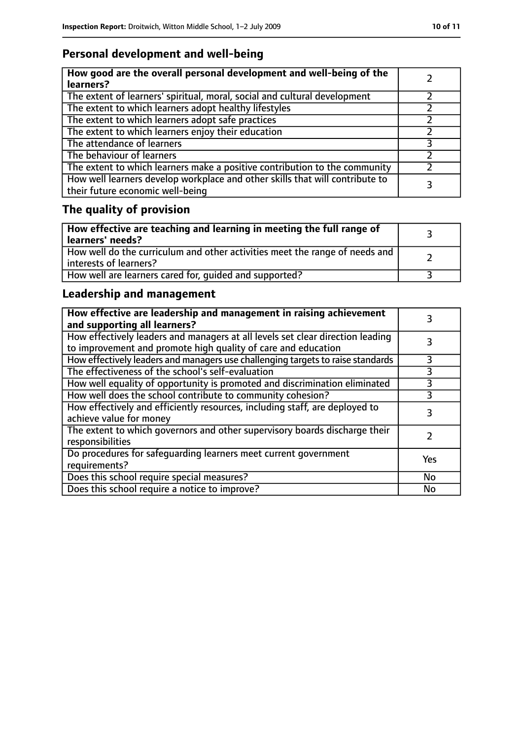# **Personal development and well-being**

| How good are the overall personal development and well-being of the<br>learners?                                 |  |
|------------------------------------------------------------------------------------------------------------------|--|
| The extent of learners' spiritual, moral, social and cultural development                                        |  |
| The extent to which learners adopt healthy lifestyles                                                            |  |
| The extent to which learners adopt safe practices                                                                |  |
| The extent to which learners enjoy their education                                                               |  |
| The attendance of learners                                                                                       |  |
| The behaviour of learners                                                                                        |  |
| The extent to which learners make a positive contribution to the community                                       |  |
| How well learners develop workplace and other skills that will contribute to<br>their future economic well-being |  |

# **The quality of provision**

| $\mid$ How effective are teaching and learning in meeting the full range of<br>  learners' needs?       |  |
|---------------------------------------------------------------------------------------------------------|--|
| How well do the curriculum and other activities meet the range of needs and<br>  interests of learners? |  |
| How well are learners cared for, quided and supported?                                                  |  |

## **Leadership and management**

| How effective are leadership and management in raising achievement<br>and supporting all learners?                                              |     |
|-------------------------------------------------------------------------------------------------------------------------------------------------|-----|
| How effectively leaders and managers at all levels set clear direction leading<br>to improvement and promote high quality of care and education |     |
| How effectively leaders and managers use challenging targets to raise standards                                                                 | 3   |
| The effectiveness of the school's self-evaluation                                                                                               | 3   |
| How well equality of opportunity is promoted and discrimination eliminated                                                                      |     |
| How well does the school contribute to community cohesion?                                                                                      | 3   |
| How effectively and efficiently resources, including staff, are deployed to<br>achieve value for money                                          | 3   |
| The extent to which governors and other supervisory boards discharge their<br>responsibilities                                                  |     |
| Do procedures for safequarding learners meet current government<br>requirements?                                                                | Yes |
| Does this school require special measures?                                                                                                      | No  |
| Does this school require a notice to improve?                                                                                                   | No  |